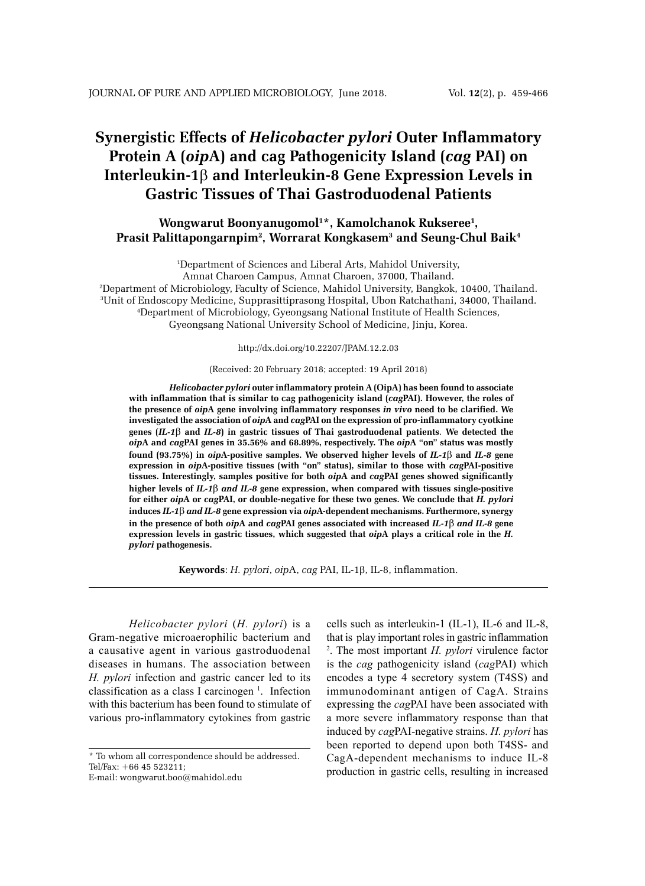# **Synergistic Effects of** *Helicobacter pylori* **Outer Inflammatory Protein A (***oip***A) and cag Pathogenicity Island (***cag* **PAI) on Interleukin-1**β **and Interleukin-8 Gene Expression Levels in Gastric Tissues of Thai Gastroduodenal Patients**

# **Wongwarut Boonyanugomol1 \*, Kamolchanok Rukseree1 , Prasit Palittapongarnpim2 , Worrarat Kongkasem3 and Seung-Chul Baik4**

1 Department of Sciences and Liberal Arts, Mahidol University,

Amnat Charoen Campus, Amnat Charoen, 37000, Thailand. 2 Department of Microbiology, Faculty of Science, Mahidol University, Bangkok, 10400, Thailand. 3 Unit of Endoscopy Medicine, Supprasittiprasong Hospital, Ubon Ratchathani, 34000, Thailand. 4 Department of Microbiology, Gyeongsang National Institute of Health Sciences, Gyeongsang National University School of Medicine, Jinju, Korea.

#### http://dx.doi.org/10.22207/JPAM.12.2.03

### (Received: 20 February 2018; accepted: 19 April 2018)

*Helicobacter pylori* **outer inflammatory protein A (OipA) has been found to associate with inflammation that is similar to cag pathogenicity island (***cag***PAI). However, the roles of the presence of** *oip***A gene involving inflammatory responses** *in vivo* **need to be clarified. We investigated the association of** *oip***A and** *cag***PAI on the expression of pro-inflammatory cyotkine genes (***IL-1*β **and** *IL-8***) in gastric tissues of Thai gastroduodenal patients**. **We detected the**  *oip***A and** *cag***PAI genes in 35.56% and 68.89%, respectively. The** *oip***A "on" status was mostly found (93.75%) in** *oip***A-positive samples. We observed higher levels of** *IL-1*β **and** *IL-8* **gene expression in** *oip***A-positive tissues (with "on" status), similar to those with** *cag***PAI-positive tissues. Interestingly, samples positive for both** *oip***A and** *cag***PAI genes showed significantly higher levels of** *IL-1*β *and IL-8* **gene expression, when compared with tissues single-positive for either** *oip***A or** *cag***PAI, or double-negative for these two genes. We conclude that** *H. pylori* **induces** *IL-1*β *and IL-8* **gene expression via** *oip***A-dependent mechanisms. Furthermore, synergy in the presence of both** *oip***A and** *cag***PAI genes associated with increased** *IL-1*β *and IL-8* **gene expression levels in gastric tissues, which suggested that** *oip***A plays a critical role in the** *H. pylori* **pathogenesis.** 

**Keywords**: *H. pylori*, *oip*A, *cag* PAI, IL-1β, IL-8, inflammation.

*Helicobacter pylori* (*H. pylori*) is a Gram-negative microaerophilic bacterium and a causative agent in various gastroduodenal diseases in humans. The association between *H. pylori* infection and gastric cancer led to its classification as a class I carcinogen<sup>1</sup>. Infection with this bacterium has been found to stimulate of various pro-inflammatory cytokines from gastric

cells such as interleukin-1 (IL-1), IL-6 and IL-8, that is play important roles in gastric inflammation 2 . The most important *H. pylori* virulence factor is the *cag* pathogenicity island (*cag*PAI) which encodes a type 4 secretory system (T4SS) and immunodominant antigen of CagA. Strains expressing the *cag*PAI have been associated with a more severe inflammatory response than that induced by *cag*PAI-negative strains. *H. pylori* has been reported to depend upon both T4SS- and CagA-dependent mechanisms to induce IL-8 production in gastric cells, resulting in increased

<sup>\*</sup> To whom all correspondence should be addressed. Tel/Fax: +66 45 523211;

E-mail: wongwarut.boo@mahidol.edu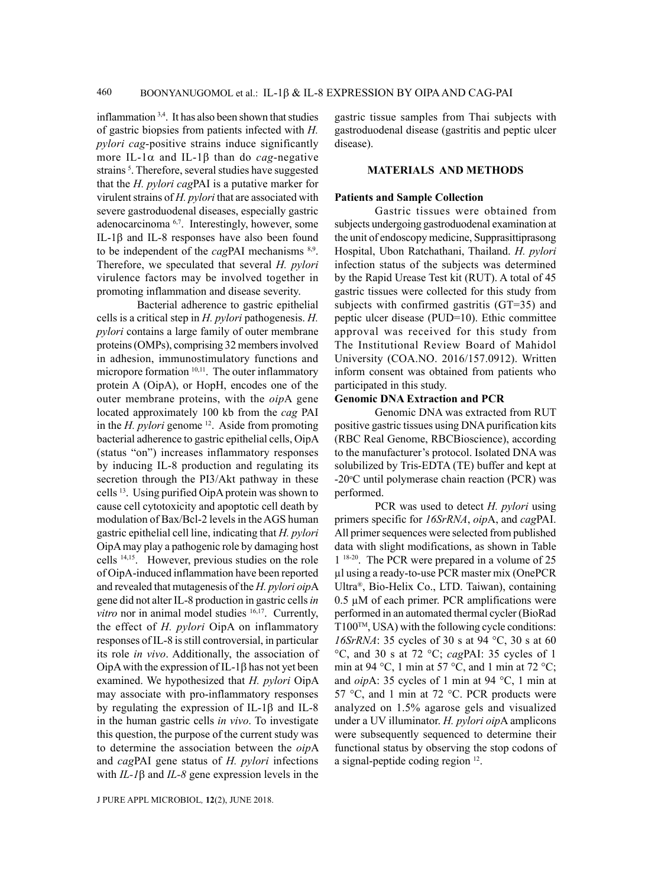inflammation 3,4. It has also been shown that studies of gastric biopsies from patients infected with *H. pylori cag*-positive strains induce significantly more IL-1α and IL-1β than do *cag*-negative strains<sup>5</sup>. Therefore, several studies have suggested that the *H. pylori cag*PAI is a putative marker for virulent strains of *H. pylori* that are associated with severe gastroduodenal diseases, especially gastric adenocarcinoma<sup>6,7</sup>. Interestingly, however, some IL-1β and IL-8 responses have also been found to be independent of the *cagPAI* mechanisms <sup>8,9</sup>. Therefore, we speculated that several *H. pylori* virulence factors may be involved together in promoting inflammation and disease severity.

Bacterial adherence to gastric epithelial cells is a critical step in *H. pylori* pathogenesis. *H. pylori* contains a large family of outer membrane proteins (OMPs), comprising 32 members involved in adhesion, immunostimulatory functions and micropore formation <sup>10,11</sup>. The outer inflammatory protein A (OipA), or HopH, encodes one of the outer membrane proteins, with the *oip*A gene located approximately 100 kb from the *cag* PAI in the *H. pylori* genome 12. Aside from promoting bacterial adherence to gastric epithelial cells, OipA (status "on") increases inflammatory responses by inducing IL-8 production and regulating its secretion through the PI3/Akt pathway in these cells 13. Using purified OipA protein was shown to cause cell cytotoxicity and apoptotic cell death by modulation of Bax/Bcl-2 levels in the AGS human gastric epithelial cell line, indicating that *H. pylori* OipA may play a pathogenic role by damaging host cells 14,15. However, previous studies on the role of OipA-induced inflammation have been reported and revealed that mutagenesis of the *H. pylori oip*A gene did not alter IL-8 production in gastric cells *in vitro* nor in animal model studies <sup>16,17</sup>. Currently, the effect of *H. pylori* OipA on inflammatory responses of IL-8 is still controversial, in particular its role *in vivo*. Additionally, the association of OipA with the expression of IL-1 $\beta$  has not yet been examined. We hypothesized that *H. pylori* OipA may associate with pro-inflammatory responses by regulating the expression of IL-1β and IL-8 in the human gastric cells *in vivo*. To investigate this question, the purpose of the current study was to determine the association between the *oip*A and *cag*PAI gene status of *H. pylori* infections with *IL-1*β and *IL-8* gene expression levels in the

gastric tissue samples from Thai subjects with gastroduodenal disease (gastritis and peptic ulcer disease).

## **MATERIALS AND METHODS**

## **Patients and Sample Collection**

Gastric tissues were obtained from subjects undergoing gastroduodenal examination at the unit of endoscopy medicine, Supprasittiprasong Hospital, Ubon Ratchathani, Thailand. *H. pylori* infection status of the subjects was determined by the Rapid Urease Test kit (RUT). A total of 45 gastric tissues were collected for this study from subjects with confirmed gastritis (GT=35) and peptic ulcer disease (PUD=10). Ethic committee approval was received for this study from The Institutional Review Board of Mahidol University (COA.NO. 2016/157.0912). Written inform consent was obtained from patients who participated in this study.

## **Genomic DNA Extraction and PCR**

Genomic DNA was extracted from RUT positive gastric tissues using DNA purification kits (RBC Real Genome, RBCBioscience), according to the manufacturer's protocol. Isolated DNA was solubilized by Tris-EDTA (TE) buffer and kept at -20°C until polymerase chain reaction (PCR) was performed.

PCR was used to detect *H. pylori* using primers specific for *16SrRNA*, *oip*A, and *cag*PAI. All primer sequences were selected from published data with slight modifications, as shown in Table 1<sup>18-20</sup>. The PCR were prepared in a volume of 25 µl using a ready-to-use PCR master mix (OnePCR Ultra®, Bio-Helix Co., LTD. Taiwan), containing  $0.5 \mu M$  of each primer. PCR amplifications were performed in an automated thermal cycler (BioRad T100TM, USA) with the following cycle conditions: *16SrRNA*: 35 cycles of 30 s at 94 °C, 30 s at 60 °C, and 30 s at 72 °C; *cag*PAI: 35 cycles of 1 min at 94 °C, 1 min at 57 °C, and 1 min at 72 °C; and *oip*A: 35 cycles of 1 min at 94 °C, 1 min at 57 °C, and 1 min at 72 °C. PCR products were analyzed on 1.5% agarose gels and visualized under a UV illuminator. *H. pylori oip*A amplicons were subsequently sequenced to determine their functional status by observing the stop codons of a signal-peptide coding region 12.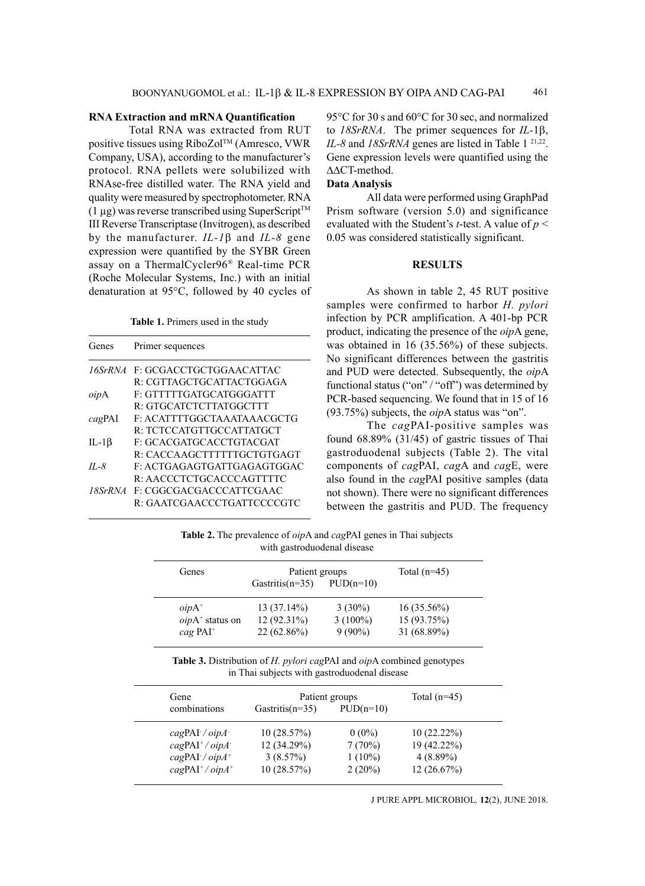## **RNA Extraction and mRNA Quantification**

Total RNA was extracted from RUT positive tissues using RiboZolTM (Amresco, VWR Company, USA), according to the manufacturer's protocol. RNA pellets were solubilized with RNAse-free distilled water. The RNA yield and quality were measured by spectrophotometer. RNA  $(1 \mu g)$  was reverse transcribed using SuperScript<sup>TM</sup> III Reverse Transcriptase (Invitrogen), as described by the manufacturer. *IL-1*β and *IL-8* gene expression were quantified by the SYBR Green assay on a ThermalCycler96® Real-time PCR (Roche Molecular Systems, Inc.) with an initial denaturation at 95°C, followed by 40 cycles of

Table 1. Primers used in the study

| Genes        | Primer sequences                |
|--------------|---------------------------------|
| 16SrRNA      | F: GCGACCTGCTGGAACATTAC         |
|              | R: CGTTAGCTGCATTACTGGAGA        |
| oipA         | F: GTTTTTGATGCATGGGATTT         |
|              | R: GTGCATCTCTTATGGCTTT          |
| cagPAI       | E: ACATTTTGGCTAAATAAACGCTG      |
|              | R: TCTCCATGTTGCCATTATGCT        |
| IL-1 $\beta$ | F: GCACGATGCACCTGTACGAT         |
|              | R: CACCAAGCTTTTTTGCTGTGAGT      |
| $II - 8$     | F: ACTGAGAGTGATTGAGAGTGGAC      |
|              | R: AACCCTCTGCACCCAGTTTTC        |
|              | 18SrRNA F: CGGCGACGACCCATTCGAAC |
|              | R: GAATCGAACCCTGATTCCCCGTC      |

95°C for 30 s and 60°C for 30 sec, and normalized to *18SrRNA*. The primer sequences for *IL-*1β, *IL-8* and *18SrRNA* genes are listed in Table 1<sup>21,22</sup>. Gene expression levels were quantified using the ∆∆CT-method.

# **Data Analysis**

All data were performed using GraphPad Prism software (version 5.0) and significance evaluated with the Student's *t*-test. A value of *p* < 0.05 was considered statistically significant.

## **RESULTS**

As shown in table 2, 45 RUT positive samples were confirmed to harbor *H. pylori* infection by PCR amplification. A 401-bp PCR product, indicating the presence of the *oip*A gene, was obtained in 16 (35.56%) of these subjects. No significant differences between the gastritis and PUD were detected. Subsequently, the *oip*A functional status ("on" / "off") was determined by PCR-based sequencing. We found that in 15 of 16 (93.75%) subjects, the *oip*A status was "on".

The *cag*PAI-positive samples was found 68.89% (31/45) of gastric tissues of Thai gastroduodenal subjects (Table 2). The vital components of *cag*PAI, *cag*A and *cag*E, were also found in the *cag*PAI positive samples (data not shown). There were no significant differences between the gastritis and PUD. The frequency

**Table 2.** The prevalence of *oip*A and *cag*PAI genes in Thai subjects with gastroduodenal disease

| Genes                  | Patient groups      |             | Total $(n=45)$ |  |
|------------------------|---------------------|-------------|----------------|--|
|                        | Gastritis( $n=35$ ) | $PUD(n=10)$ |                |  |
| $oipA^+$               | $13(37.14\%)$       | $3(30\%)$   | $16(35.56\%)$  |  |
| $oipA+$ status on      | $12(92.31\%)$       | $3(100\%)$  | 15 (93.75%)    |  |
| $cag$ PAI <sup>+</sup> | $22(62.86\%)$       | $9(90\%)$   | 31 (68.89%)    |  |
|                        |                     |             |                |  |

**Table 3.** Distribution of *H. pylori cag*PAI and *oip*A combined genotypes in Thai subjects with gastroduodenal disease

| Gene                                                                               | Patient groups          |                     | Total $(n=45)$             |  |
|------------------------------------------------------------------------------------|-------------------------|---------------------|----------------------------|--|
| combinations                                                                       | Gastritis( $n=35$ )     | $PUD(n=10)$         |                            |  |
| $\c{a}$ gPAI / $\sin A$                                                            | 10(28.57%)              | $0(0\%)$            | 10(22.22%)                 |  |
| $\frac{c}{a}$ gPAI <sup>+</sup> / $\frac{o}{c}$<br>$\c{a}$ gPAI $\prime$ oip $A^+$ | 12 (34.29%)<br>3(8.57%) | 7(70%)<br>$1(10\%)$ | 19 (42.22%)<br>$4(8.89\%)$ |  |
| $\text{cagPAI}^+ / \text{oipA}^+$                                                  | 10 (28.57%)             | $2(20\%)$           | 12(26.67%)                 |  |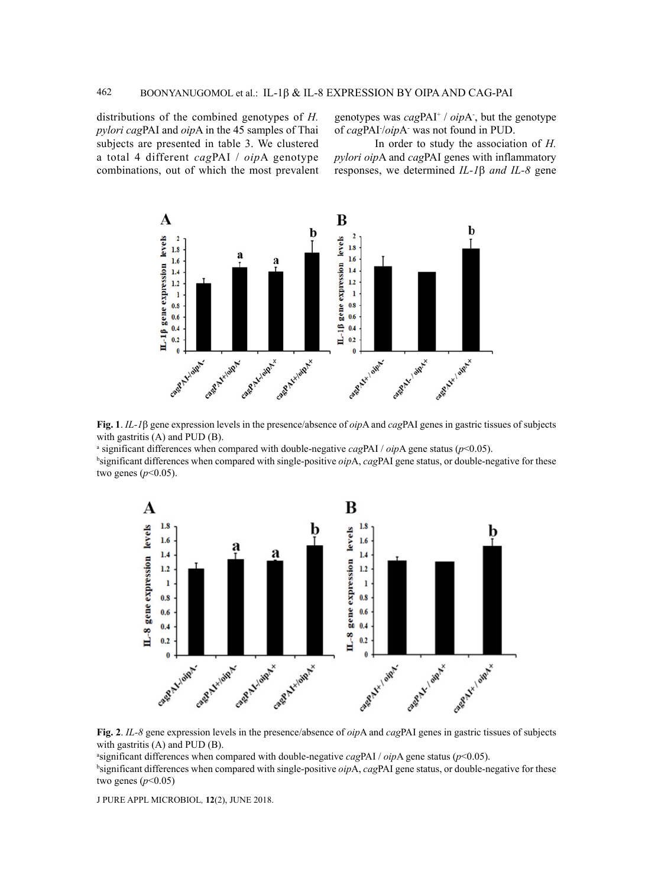distributions of the combined genotypes of *H. pylori cag*PAI and *oip*A in the 45 samples of Thai subjects are presented in table 3. We clustered a total 4 different *cag*PAI / *oip*A genotype combinations, out of which the most prevalent genotypes was *cag*PAI+ / *oip*A- , but the genotype of *cag*PAI- /*oip*A- was not found in PUD.

In order to study the association of *H. pylori oip*A and *cag*PAI genes with inflammatory responses, we determined *IL-1*β *and IL-8* gene



**Fig. 1**. *IL-1*β gene expression levels in the presence/absence of *oip*A and *cag*PAI genes in gastric tissues of subjects with gastritis (A) and PUD (B).

a significant differences when compared with double-negative *cag*PAI / *oip*A gene status (*p*<0.05).

b significant differences when compared with single-positive *oip*A, *cag*PAI gene status, or double-negative for these two genes (*p*<0.05).



**Fig. 2**. *IL-8* gene expression levels in the presence/absence of *oip*A and *cag*PAI genes in gastric tissues of subjects with gastritis (A) and PUD (B).

a significant differences when compared with double-negative *cag*PAI / *oip*A gene status (*p*<0.05). b significant differences when compared with single-positive *oip*A, *cag*PAI gene status, or double-negative for these two genes (*p*<0.05)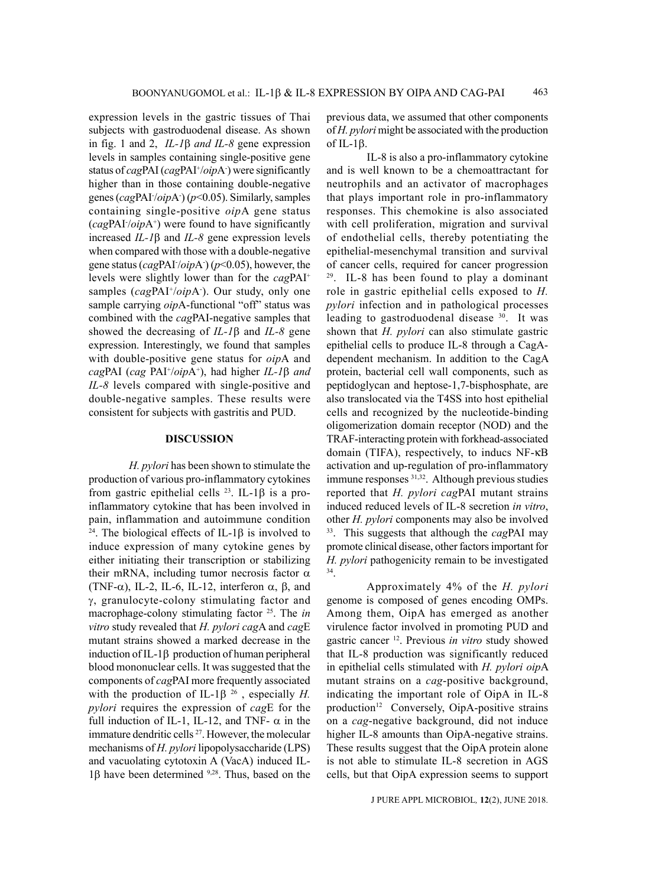expression levels in the gastric tissues of Thai subjects with gastroduodenal disease. As shown in fig. 1 and 2, *IL-1*β *and IL-8* gene expression levels in samples containing single-positive gene status of *cagPAI* (*cagPAI*<sup>+</sup>/*oipA*) were significantly higher than in those containing double-negative genes (*cag*PAI- /*oip*A- ) (*p*<0.05). Similarly, samples containing single-positive *oip*A gene status (*cag*PAI- /*oip*A+ ) were found to have significantly increased *IL-1*β and *IL-8* gene expression levels when compared with those with a double-negative gene status (*cag*PAI- /*oip*A- ) (*p*<0.05), however, the levels were slightly lower than for the *cag*PAI+ samples (cagPAI<sup>+</sup>/oipA<sup>-</sup>). Our study, only one sample carrying  $oipA$ -functional "off" status was combined with the *cag*PAI-negative samples that showed the decreasing of *IL-1*β and *IL-8* gene expression. Interestingly, we found that samples with double-positive gene status for *oip*A and *cag*PAI (*cag* PAI+ /*oip*A+ ), had higher *IL-1*β *and IL-8* levels compared with single-positive and double-negative samples. These results were consistent for subjects with gastritis and PUD.

#### **DISCUSSION**

*H. pylori* has been shown to stimulate the production of various pro-inflammatory cytokines from gastric epithelial cells 23. IL-1β is a proinflammatory cytokine that has been involved in pain, inflammation and autoimmune condition <sup>24</sup>. The biological effects of IL-1β is involved to induce expression of many cytokine genes by either initiating their transcription or stabilizing their mRNA, including tumor necrosis factor  $α$ (TNF- $\alpha$ ), IL-2, IL-6, IL-12, interferon  $\alpha$ ,  $\beta$ , and γ, granulocyte-colony stimulating factor and macrophage-colony stimulating factor 25. The *in vitro* study revealed that *H. pylori cag*A and *cag*E mutant strains showed a marked decrease in the induction of IL-1β production of human peripheral blood mononuclear cells. It was suggested that the components of *cag*PAI more frequently associated with the production of IL-1β 26 , especially *H. pylori* requires the expression of *cag*E for the full induction of IL-1, IL-12, and TNF-  $\alpha$  in the immature dendritic cells <sup>27</sup>. However, the molecular mechanisms of *H. pylori* lipopolysaccharide (LPS) and vacuolating cytotoxin A (VacA) induced IL-1β have been determined  $9,28$ . Thus, based on the previous data, we assumed that other components of *H. pylori* might be associated with the production of IL-1β.

IL-8 is also a pro-inflammatory cytokine and is well known to be a chemoattractant for neutrophils and an activator of macrophages that plays important role in pro-inflammatory responses. This chemokine is also associated with cell proliferation, migration and survival of endothelial cells, thereby potentiating the epithelial-mesenchymal transition and survival % of cancer cells, required for cancer progression  $29$ . IL-8 has been found to play a dominant role in gastric epithelial cells exposed to *H. pylori* infection and in pathological processes leading to gastroduodenal disease <sup>30</sup>. It was shown that *H. pylori* can also stimulate gastric epithelial cells to produce IL-8 through a CagAdependent mechanism. In addition to the CagA protein, bacterial cell wall components, such as peptidoglycan and heptose-1,7-bisphosphate, are also translocated via the T4SS into host epithelial cells and recognized by the nucleotide-binding oligomerization domain receptor (NOD) and the TRAF-interacting protein with forkhead-associated domain (TIFA), respectively, to inducs NF-kB activation and up-regulation of pro-inflammatory immune responses <sup>31,32</sup>. Although previous studies reported that *H. pylori cag*PAI mutant strains induced reduced levels of IL-8 secretion *in vitro*, other *H. pylori* components may also be involved <sup>33</sup>. This suggests that although the *cagPAI* may promote clinical disease, other factors important for *H. pylori* pathogenicity remain to be investigated <sup>34</sup>

Approximately 4% of the *H. pylori* genome is composed of genes encoding OMPs. Among them, OipA has emerged as another virulence factor involved in promoting PUD and gastric cancer 12. Previous *in vitro* study showed that IL-8 production was significantly reduced in epithelial cells stimulated with *H. pylori oip*A mutant strains on a *cag*-positive background, indicating the important role of OipA in IL-8 production<sup>12</sup> Conversely, OipA-positive strains on a *cag*-negative background, did not induce higher IL-8 amounts than OipA-negative strains. These results suggest that the OipA protein alone is not able to stimulate IL-8 secretion in AGS cells, but that OipA expression seems to support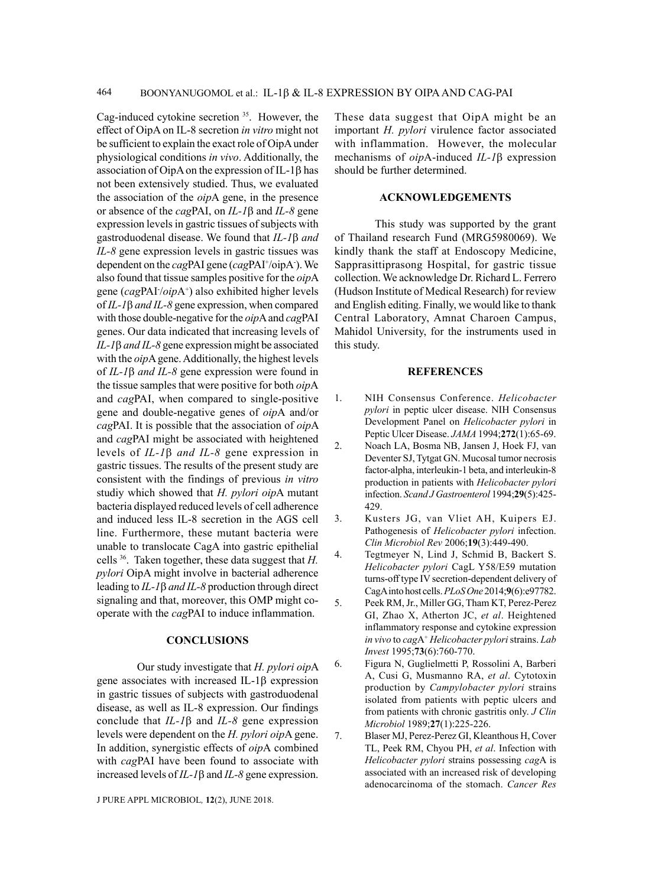Cag-induced cytokine secretion 35. However, the effect of OipA on IL-8 secretion *in vitro* might not be sufficient to explain the exact role of OipA under physiological conditions *in vivo*. Additionally, the association of OipA on the expression of IL-1β has not been extensively studied. Thus, we evaluated the association of the *oip*A gene, in the presence or absence of the *cag*PAI, on *IL-1*β and *IL-8* gene expression levels in gastric tissues of subjects with gastroduodenal disease. We found that *IL-1*β *and IL-8* gene expression levels in gastric tissues was dependent on the *cagPAI* gene (*cagPAI*<sup>+</sup>/oipA<sup>-</sup>). We also found that tissue samples positive for the *oip*A gene (*cag*PAI- /*oip*A+ ) also exhibited higher levels of *IL-1*β *and IL-8* gene expression, when compared with those double-negative for the *oip*A and *cag*PAI genes. Our data indicated that increasing levels of *IL-1*β *and IL-8* gene expression might be associated with the *oip*A gene. Additionally, the highest levels of *IL-1*β *and IL-8* gene expression were found in the tissue samples that were positive for both *oip*A and *cag*PAI, when compared to single-positive gene and double-negative genes of *oip*A and/or *cag*PAI. It is possible that the association of *oip*A and *cag*PAI might be associated with heightened levels of *IL-1*β *and IL-8* gene expression in gastric tissues. The results of the present study are consistent with the findings of previous *in vitro* studiy which showed that *H. pylori oip*A mutant bacteria displayed reduced levels of cell adherence and induced less IL-8 secretion in the AGS cell line. Furthermore, these mutant bacteria were unable to translocate CagA into gastric epithelial cells 36. Taken together, these data suggest that *H. pylori* OipA might involve in bacterial adherence leading to *IL-1*β *and IL-8* production through direct signaling and that, moreover, this OMP might cooperate with the *cag*PAI to induce inflammation.

## **CONCLUSIONS**

Our study investigate that *H. pylori oip*A gene associates with increased IL-1β expression in gastric tissues of subjects with gastroduodenal disease, as well as IL-8 expression. Our findings conclude that *IL-1*β and *IL-8* gene expression levels were dependent on the *H. pylori oip*A gene. In addition, synergistic effects of *oip*A combined with *cag*PAI have been found to associate with increased levels of *IL-1*β and *IL-8* gene expression.

J PURE APPL MICROBIOl*,* **12**(2), June 2018.

These data suggest that OipA might be an important *H. pylori* virulence factor associated with inflammation. However, the molecular mechanisms of *oip*A-induced *IL-1*β expression should be further determined.

## **ACKNOWLEDGEMENTS**

This study was supported by the grant of Thailand research Fund (MRG5980069). We kindly thank the staff at Endoscopy Medicine, Sapprasittiprasong Hospital, for gastric tissue collection. We acknowledge Dr. Richard L. Ferrero (Hudson Institute of Medical Research) for review and English editing. Finally, we would like to thank Central Laboratory, Amnat Charoen Campus, Mahidol University, for the instruments used in this study.

## **REFERENCES**

- 1. NIH Consensus Conference. *Helicobacter pylori* in peptic ulcer disease. NIH Consensus Development Panel on *Helicobacter pylori* in Peptic Ulcer Disease. *JAMA* 1994;**272**(1):65-69.
- 2. Noach LA, Bosma NB, Jansen J, Hoek FJ, van Deventer SJ, Tytgat GN. Mucosal tumor necrosis factor-alpha, interleukin-1 beta, and interleukin-8 production in patients with *Helicobacter pylori* infection. *Scand J Gastroenterol* 1994;**29**(5):425- 429.
- 3. Kusters JG, van Vliet AH, Kuipers EJ. Pathogenesis of *Helicobacter pylori* infection. *Clin Microbiol Rev* 2006;**19**(3):449-490.
- 4. Tegtmeyer N, Lind J, Schmid B, Backert S. *Helicobacter pylori* CagL Y58/E59 mutation turns-off type IV secretion-dependent delivery of CagA into host cells. *PLoS One* 2014;**9**(6):e97782.
- 5. Peek RM, Jr., Miller GG, Tham KT, Perez-Perez GI, Zhao X, Atherton JC, *et al*. Heightened inflammatory response and cytokine expression *in vivo* to *cag*A+ *Helicobacter pylori* strains. *Lab Invest* 1995;**73**(6):760-770.
- 6. Figura N, Guglielmetti P, Rossolini A, Barberi A, Cusi G, Musmanno RA, *et al*. Cytotoxin production by *Campylobacter pylori* strains isolated from patients with peptic ulcers and from patients with chronic gastritis only. *J Clin Microbiol* 1989;**27**(1):225-226.
- 7. Blaser MJ, Perez-Perez GI, Kleanthous H, Cover TL, Peek RM, Chyou PH, *et al*. Infection with *Helicobacter pylori* strains possessing *cag*A is associated with an increased risk of developing adenocarcinoma of the stomach. *Cancer Res*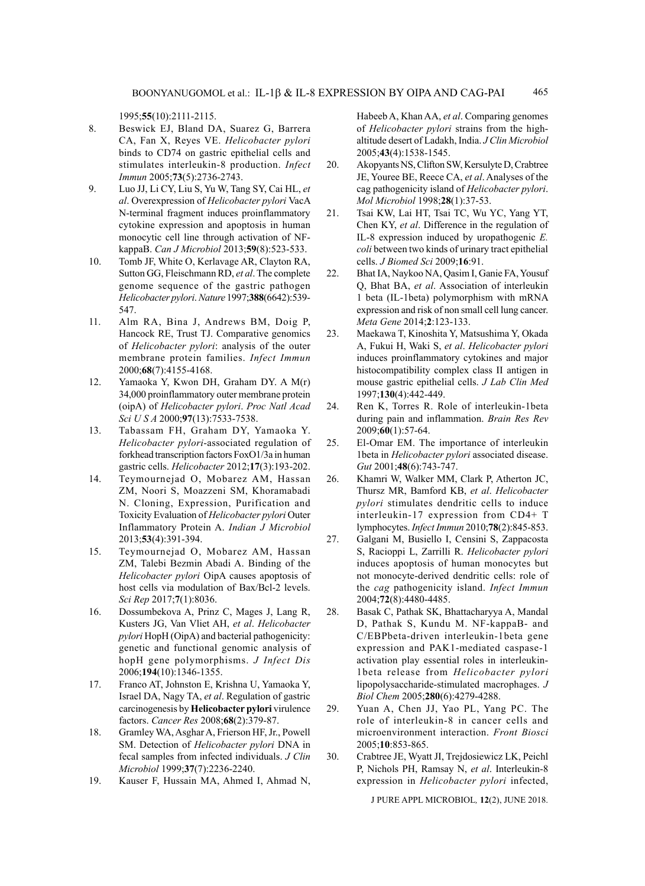1995;**55**(10):2111-2115.

- 8. Beswick EJ, Bland DA, Suarez G, Barrera CA, Fan X, Reyes VE. *Helicobacter pylori* binds to CD74 on gastric epithelial cells and stimulates interleukin-8 production. *Infect Immun* 2005;**73**(5):2736-2743.
- 9. Luo JJ, Li CY, Liu S, Yu W, Tang SY, Cai HL, *et al*. Overexpression of *Helicobacter pylori* VacA N-terminal fragment induces proinflammatory cytokine expression and apoptosis in human monocytic cell line through activation of NFkappaB. *Can J Microbiol* 2013;**59**(8):523-533.
- 10. Tomb JF, White O, Kerlavage AR, Clayton RA, Sutton GG, Fleischmann RD, *et al*. The complete genome sequence of the gastric pathogen *Helicobacter pylori*. *Nature* 1997;**388**(6642):539- 547.
- 11. Alm RA, Bina J, Andrews BM, Doig P, Hancock RE, Trust TJ. Comparative genomics of *Helicobacter pylori*: analysis of the outer membrane protein families. *Infect Immun*  2000;**68**(7):4155-4168.
- 12. Yamaoka Y, Kwon DH, Graham DY. A M(r) 34,000 proinflammatory outer membrane protein (oipA) of *Helicobacter pylori*. *Proc Natl Acad Sci U S A* 2000;**97**(13):7533-7538.
- 13. Tabassam FH, Graham DY, Yamaoka Y. *Helicobacter pylori*-associated regulation of forkhead transcription factors FoxO1/3a in human gastric cells. *Helicobacter* 2012;**17**(3):193-202.
- 14. Teymournejad O, Mobarez AM, Hassan ZM, Noori S, Moazzeni SM, Khoramabadi N. Cloning, Expression, Purification and Toxicity Evaluation of *Helicobacter pylori* Outer Inflammatory Protein A. *Indian J Microbiol*  2013;**53**(4):391-394.
- 15. Teymournejad O, Mobarez AM, Hassan ZM, Talebi Bezmin Abadi A. Binding of the *Helicobacter pylori* OipA causes apoptosis of host cells via modulation of Bax/Bcl-2 levels. *Sci Rep* 2017;**7**(1):8036.
- 16. Dossumbekova A, Prinz C, Mages J, Lang R, Kusters JG, Van Vliet AH, *et al*. *Helicobacter pylori* HopH (OipA) and bacterial pathogenicity: genetic and functional genomic analysis of hopH gene polymorphisms. *J Infect Dis*  2006;**194**(10):1346-1355.
- 17. Franco AT, Johnston E, Krishna U, Yamaoka Y, Israel DA, Nagy TA, *et al*. Regulation of gastric carcinogenesis by **Helicobacter pylori** virulence factors. *Cancer Res* 2008;**68**(2):379-87.
- 18. Gramley WA, Asghar A, Frierson HF, Jr., Powell SM. Detection of *Helicobacter pylori* DNA in fecal samples from infected individuals. *J Clin Microbiol* 1999;**37**(7):2236-2240.
- 19. Kauser F, Hussain MA, Ahmed I, Ahmad N,

Habeeb A, Khan AA, *et al*. Comparing genomes of *Helicobacter pylori* strains from the highaltitude desert of Ladakh, India. *J Clin Microbiol*  2005;**43**(4):1538-1545.

- 20. Akopyants NS, Clifton SW, Kersulyte D, Crabtree JE, Youree BE, Reece CA, *et al*. Analyses of the cag pathogenicity island of *Helicobacter pylori*. *Mol Microbiol* 1998;**28**(1):37-53.
- 21. Tsai KW, Lai HT, Tsai TC, Wu YC, Yang YT, Chen KY, *et al*. Difference in the regulation of IL-8 expression induced by uropathogenic *E. coli* between two kinds of urinary tract epithelial cells. *J Biomed Sci* 2009;**16**:91.
- 22. Bhat IA, Naykoo NA, Qasim I, Ganie FA, Yousuf Q, Bhat BA, *et al*. Association of interleukin 1 beta (IL-1beta) polymorphism with mRNA expression and risk of non small cell lung cancer. *Meta Gene* 2014;**2**:123-133.
- 23. Maekawa T, Kinoshita Y, Matsushima Y, Okada A, Fukui H, Waki S, *et al*. *Helicobacter pylori* induces proinflammatory cytokines and major histocompatibility complex class II antigen in mouse gastric epithelial cells. *J Lab Clin Med*  1997;**130**(4):442-449.
- 24. Ren K, Torres R. Role of interleukin-1beta during pain and inflammation. *Brain Res Rev*  2009;**60**(1):57-64.
- 25. El-Omar EM. The importance of interleukin 1beta in *Helicobacter pylori* associated disease. *Gut* 2001;**48**(6):743-747.
- 26. Khamri W, Walker MM, Clark P, Atherton JC, Thursz MR, Bamford KB, *et al*. *Helicobacter pylori* stimulates dendritic cells to induce interleukin-17 expression from CD4+ T lymphocytes. *Infect Immun* 2010;**78**(2):845-853.
- 27. Galgani M, Busiello I, Censini S, Zappacosta S, Racioppi L, Zarrilli R. *Helicobacter pylori* induces apoptosis of human monocytes but not monocyte-derived dendritic cells: role of the *cag* pathogenicity island. *Infect Immun*  2004;**72**(8):4480-4485.
- 28. Basak C, Pathak SK, Bhattacharyya A, Mandal D, Pathak S, Kundu M. NF-kappaB- and C/EBPbeta-driven interleukin-1beta gene expression and PAK1-mediated caspase-1 activation play essential roles in interleukin-1beta release from *Helicobacter pylori* lipopolysaccharide-stimulated macrophages. *J Biol Chem* 2005;**280**(6):4279-4288.
- 29. Yuan A, Chen JJ, Yao PL, Yang PC. The role of interleukin-8 in cancer cells and microenvironment interaction. *Front Biosci*  2005;**10**:853-865.
- 30. Crabtree JE, Wyatt JI, Trejdosiewicz LK, Peichl P, Nichols PH, Ramsay N, *et al*. Interleukin-8 expression in *Helicobacter pylori* infected,